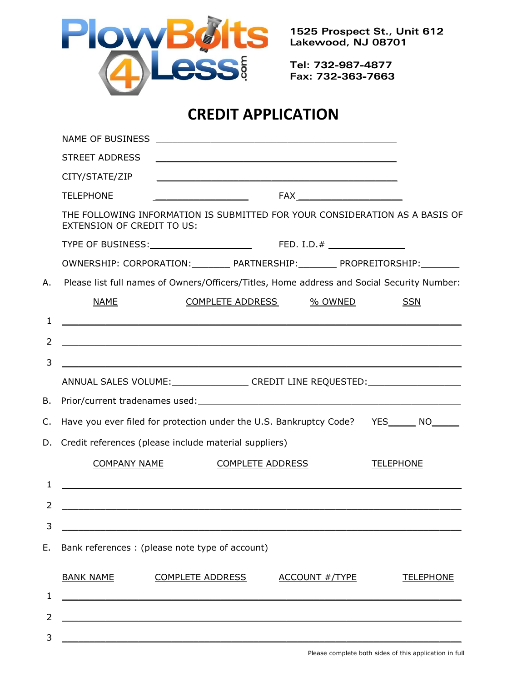

1525 Prospect St., Unit 612 Lakewood, NJ 08701

Tel: 732-987-4877 Fax: 732-363-7663

## **CREDIT APPLICATION**

|    | NAME OF BUSINESS<br><u> 1989 - Johann Stoff, deutscher Stoffen und der Stoffen und der Stoffen und der Stoffen und der Stoffen und der</u> |                  |  |
|----|--------------------------------------------------------------------------------------------------------------------------------------------|------------------|--|
|    | <b>STREET ADDRESS</b>                                                                                                                      |                  |  |
|    | CITY/STATE/ZIP                                                                                                                             |                  |  |
|    | <b>TELEPHONE</b><br><u> 1989 - Johann Barbara, martin a</u>                                                                                |                  |  |
|    | THE FOLLOWING INFORMATION IS SUBMITTED FOR YOUR CONSIDERATION AS A BASIS OF<br>EXTENSION OF CREDIT TO US:                                  |                  |  |
|    |                                                                                                                                            |                  |  |
|    | OWNERSHIP: CORPORATION: _________ PARTNERSHIP: ________ PROPREITORSHIP: ________                                                           |                  |  |
| Α. | Please list full names of Owners/Officers/Titles, Home address and Social Security Number:                                                 |                  |  |
|    | <b>NAME</b><br>COMPLETE ADDRESS<br>% OWNED                                                                                                 | <b>SSN</b>       |  |
| 1  | <u> 1980 - Andrea Andrea Andrea Andrea Andrea Andrea Andrea Andrea Andrea Andrea Andrea Andrea Andrea Andrea Andr</u>                      |                  |  |
| 2  | <u> 1980 - Jan Barat, margaret amerikan basar dan berasal di basa dan berasal dan berasal dalam berasal dalam ber</u>                      |                  |  |
| 3  |                                                                                                                                            |                  |  |
|    | ANNUAL SALES VOLUME:_________________CREDIT LINE REQUESTED:_____________________                                                           |                  |  |
| В. |                                                                                                                                            |                  |  |
| C. | Have you ever filed for protection under the U.S. Bankruptcy Code? YES_____ NO_____                                                        |                  |  |
| D. | Credit references (please include material suppliers)                                                                                      |                  |  |
|    | <b>COMPANY NAME</b><br><b>COMPLETE ADDRESS</b><br><b>TELEPHONE</b>                                                                         |                  |  |
| ı. |                                                                                                                                            |                  |  |
| 2  | <u> 1980 - Johann John Stone, markin film yn y brening yn y brening yn y brening yn y brening y brening yn y bre</u>                       |                  |  |
| 3  |                                                                                                                                            |                  |  |
| Е. | Bank references : (please note type of account)                                                                                            |                  |  |
|    | <b>BANK NAME</b><br><b>COMPLETE ADDRESS</b><br><b>ACCOUNT #/TYPE</b>                                                                       | <b>TELEPHONE</b> |  |
| 1  | <u> 1989 - Johann Stoff, deutscher Stoffen und der Stoffen und der Stoffen und der Stoffen und der Stoffen und der</u>                     |                  |  |
| 2  |                                                                                                                                            |                  |  |
| 3  |                                                                                                                                            |                  |  |